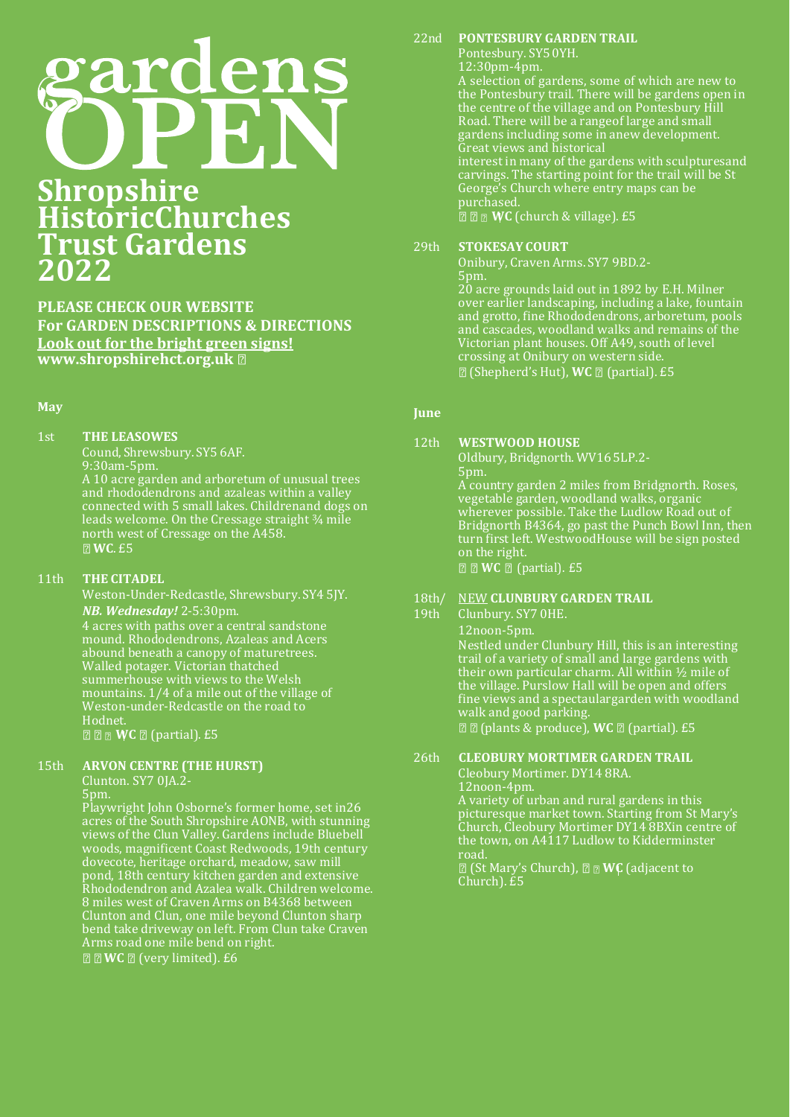# ens

# **Shropshire HistoricChurches Trust Gardens 2022**

**PLEASE CHECK OUR WEBSITE For GARDEN DESCRIPTIONS & DIRECTIONS Look out for the bright green signs! [www.shropshirehct.org.uk](http://www.shropshirehct.org.uk/)**

#### **May**

# 1st **THE LEASOWES**

Cound, Shrewsbury. SY5 6AF. 9:30am-5pm. A 10 acre garden and arboretum of unusual trees

and rhododendrons and azaleas within a valley connected with 5 small lakes. Childrenand dogs on leads welcome. On the Cressage straight ¾ mile north west of Cressage on the A458. **WC**. £5

# 11th **THE CITADEL**

Weston-Under-Redcastle, Shrewsbury. SY4 5JY. *NB. Wednesday!* 2-5:30pm. 4 acres with paths over a central sandstone mound. Rhododendrons, Azaleas and Acers abound beneath a canopy of maturetrees. Walled potager. Victorian thatched summerhouse with views to the Welsh mountains. 1/4 of a mile out of the village of Weston-under-Redcastle on the road to Hodnet. **Z Z WC Z** (partial). £5

# 15th **ARVON CENTRE (THE HURST)**

Clunton. SY7 0JA.2-

5pm.

Playwright John Osborne's former home, set in26 acres of the South Shropshire AONB, with stunning views of the Clun Valley. Gardens include Bluebell woods, magnificent Coast Redwoods, 19th century dovecote, heritage orchard, meadow, saw mill pond, 18th century kitchen garden and extensive Rhododendron and Azalea walk. Children welcome. 8 miles west of Craven Arms on B4368 between Clunton and Clun, one mile beyond Clunton sharp bend take driveway on left. From Clun take Craven Arms road one mile bend on right. **Z WC Z** (very limited). £6

# 22nd **PONTESBURY GARDEN TRAIL**

Pontesbury. SY5 0YH. 12:30pm-4pm. A selection of gardens, some of which are new to the Pontesbury trail. There will be gardens open in the centre of the village and on Pontesbury Hill Road. There will be a rangeof large and small gardens including some in anew development. Great views and historical interest in many of the gardens with sculpturesand carvings. The starting point for the trail will be St George's Church where entry maps can be purchased. **Z Z WC** (church & village). £5

#### 29th **STOKESAY COURT**

Onibury, Craven Arms. SY7 9BD.2- 5pm.

20 acre grounds laid out in 1892 by E.H. Milner over earlier landscaping, including a lake, fountain and grotto, fine Rhododendrons, arboretum, pools and cascades, woodland walks and remains of the Victorian plant houses. Off A49, south of level crossing at Onibury on western side. (Shepherd's Hut), WC <sup>[2]</sup> (partial). £5

#### **June**

# 12th **WESTWOOD HOUSE**

Oldbury, Bridgnorth. WV16 5LP.2- 5pm. A country garden 2 miles from Bridgnorth. Roses, vegetable garden, woodland walks, organic wherever possible. Take the Ludlow Road out of Bridgnorth B4364, go past the Punch Bowl Inn, then turn first left. WestwoodHouse will be sign posted on the right.

**Z WC Z** (partial). £5

# 18th/ NEW **CLUNBURY GARDEN TRAIL**

19th Clunbury. SY7 0HE.

12noon-5pm. Nestled under Clunbury Hill, this is an interesting trail of a variety of small and large gardens with their own particular charm. All within ½ mile of the village. Purslow Hall will be open and offers fine views and a spectaulargarden with woodland walk and good parking.  $\mathbb{Z}$  $\mathbb{Z}$  **(plants & produce), WC**  $\mathbb{Z}$  **(partial). £5** 

# 26th **CLEOBURY MORTIMER GARDEN TRAIL**

Cleobury Mortimer. DY14 8RA. 12noon-4pm.

A variety of urban and rural gardens in this picturesque market town. Starting from St Mary's Church, Cleobury Mortimer DY14 8BXin centre of the town, on A4117 Ludlow to Kidderminster road.

(St Mary's Church), **WC** (adjacent to Church). £5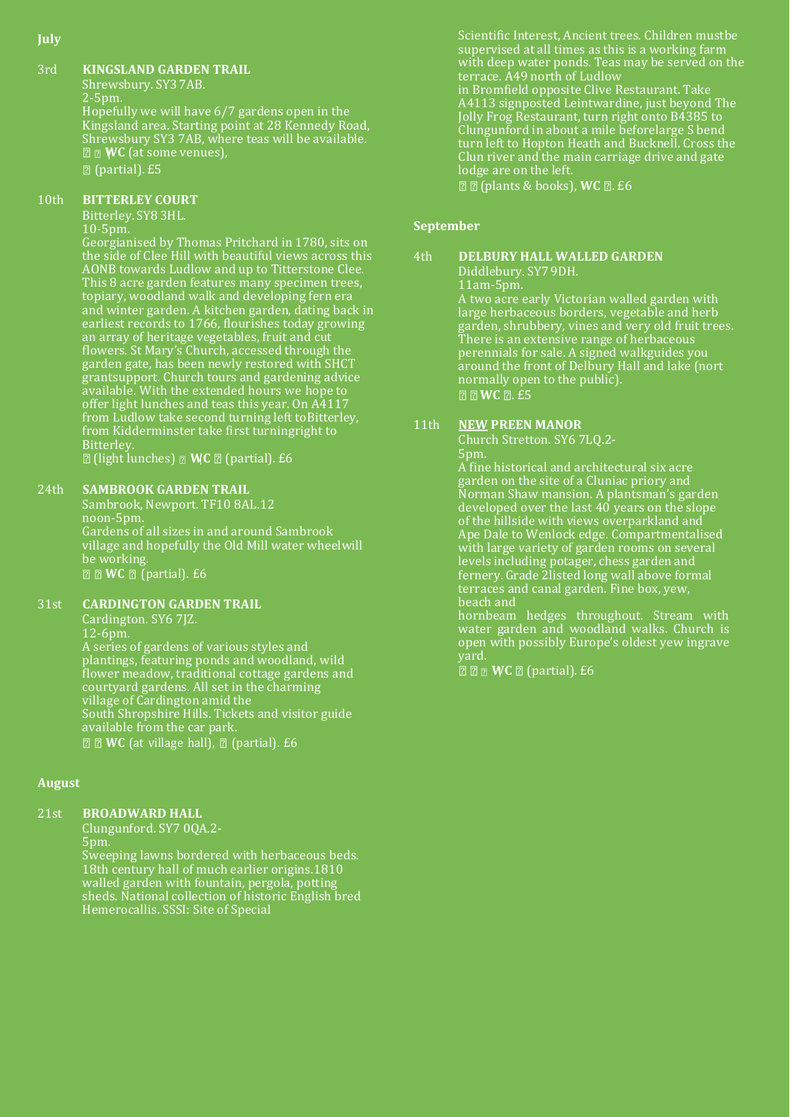#### **July**

#### 3rd **KINGSLAND GARDEN TRAIL**

Shrewsbury. SY3 7AB. 2-5pm. Hopefully we will have 6/7 gardens open in the Kingsland area. Starting point at 28 Kennedy Road, Shrewsbury SY3 7AB, where teas will be available. **WC** (at some venues), (partial). £5

# 10th **BITTERLEY COURT**

Bitterley. SY8 3HL.

# 10-5pm.

Georgianised by Thomas Pritchard in 1780, sits on the side of Clee Hill with beautiful views across this AONB towards Ludlow and up to Titterstone Clee. This 8 acre garden features many specimen trees, topiary, woodland walk and developing fern era and winter garden. A kitchen garden, dating back in earliest records to 1766, flourishes today growing an array of heritage vegetables, fruit and cut flowers. St Mary's Church, accessed through the garden gate, has been newly restored with SHCT grantsupport. Church tours and gardening advice available. With the extended hours we hope to offer light lunches and teas this year. On A4117 from Ludlow take second turning left toBitterley, from Kidderminster take first turningright to Bitterley.

(light lunches) **MC** *I* (partial). £6

# 24th **SAMBROOK GARDEN TRAIL**

Sambrook, Newport. TF10 8AL.12 noon-5pm. Gardens of all sizes in and around Sambrook village and hopefully the Old Mill water wheelwill be working. **Z WC Z** (partial). £6

# 31st **CARDINGTON GARDEN TRAIL**

Cardington. SY6 7JZ. 12-6pm. A series of gardens of various styles and plantings, featuring ponds and woodland, wild flower meadow, traditional cottage gardens and courtyard gardens. All set in the charming village of Cardington amid the South Shropshire Hills. Tickets and visitor guide available from the car park. **Z Z WC** (at village hall), **Z** (partial). £6

# **August**

# 21st **BROADWARD HALL**

Clungunford. SY7 0QA.2- 5pm. Sweeping lawns bordered with herbaceous beds. 18th century hall of much earlier origins.1810 walled garden with fountain, pergola, potting sheds. National collection of historic English bred Hemerocallis. SSSI: Site of Special

Scientific Interest, Ancient trees. Children mustbe supervised at all times as this is a working farm with deep water ponds. Teas may be served on the terrace. A49 north of Ludlow in Bromfield opposite Clive Restaurant. Take A4113 signposted Leintwardine, just beyond The Jolly Frog Restaurant, turn right onto B4385 to Clungunford in about a mile beforelarge S bend turn left to Hopton Heath and Bucknell. Cross the Clun river and the main carriage drive and gate lodge are on the left.

**22** (plants & books), **WC 2**. £6

# **September**

```
4th DELBURY HALL WALLED GARDEN
Diddlebury. SY7 9DH.
```
11am-5pm.

A two acre early Victorian walled garden with large herbaceous borders, vegetable and herb garden, shrubbery, vines and very old fruit trees. There is an extensive range of herbaceous perennials for sale. A signed walkguides you around the front of Delbury Hall and lake (nort normally open to the public). **ZWC 2.** £5

# 11th **NEW PREEN MANOR**

Church Stretton. SY6 7LQ.2- 5pm.

A fine historical and architectural six acre garden on the site of a Cluniac priory and Norman Shaw mansion. A plantsman's garden developed over the last 40 years on the slope of the hillside with views overparkland and Ape Dale to Wenlock edge. Compartmentalised with large variety of garden rooms on several levels including potager, chess garden and fernery. Grade 2listed long wall above formal terraces and canal garden. Fine box, yew, beach and

hornbeam hedges throughout. Stream with water garden and woodland walks. Church is open with possibly Europe's oldest yew ingrave yard.

**Z Z WC Z** (partial). £6